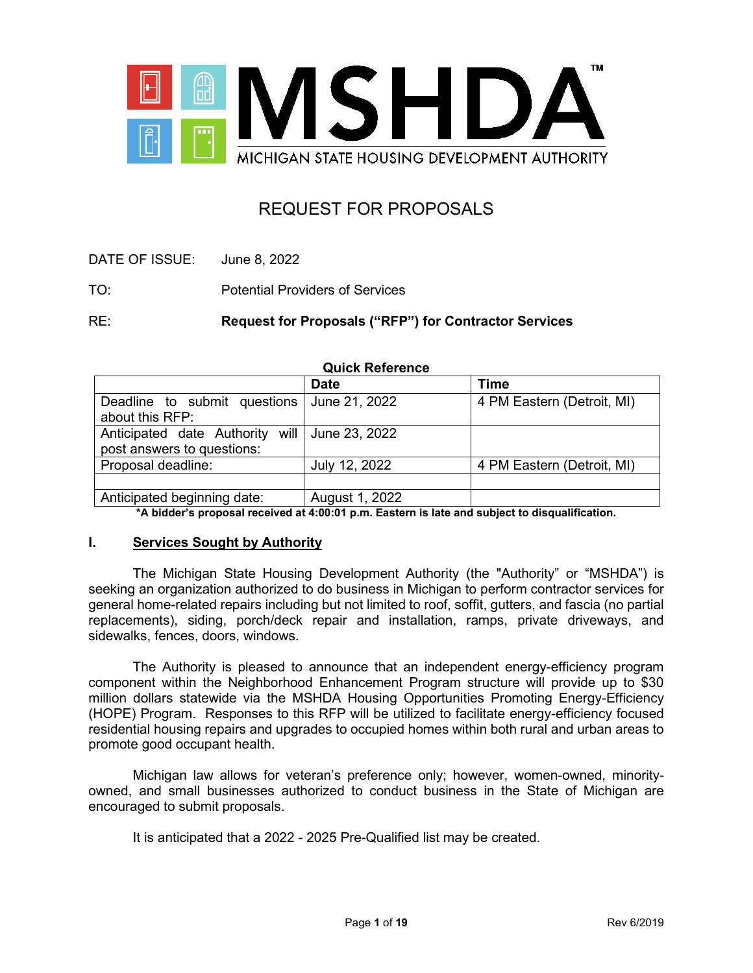

# REQUEST FOR PROPOSALS

DATE OF ISSUE: June 8, 2022

TO: Potential Providers of Services

RE: **Request for Proposals ("RFP") for Contractor Services** 

| <b>QUICK Reference</b>                        |                |                            |  |  |
|-----------------------------------------------|----------------|----------------------------|--|--|
|                                               | <b>Date</b>    | <b>Time</b>                |  |  |
| Deadline to submit questions                  | June 21, 2022  | 4 PM Eastern (Detroit, MI) |  |  |
| about this RFP:                               |                |                            |  |  |
| Anticipated date Authority will June 23, 2022 |                |                            |  |  |
| post answers to questions:                    |                |                            |  |  |
| Proposal deadline:                            | July 12, 2022  | 4 PM Eastern (Detroit, MI) |  |  |
|                                               |                |                            |  |  |
| Anticipated beginning date:                   | August 1, 2022 |                            |  |  |

**Quick Reference**

Anticipated beginning date: August 1, 2022

**\*A bidder's proposal received at 4:00:01 p.m. Eastern is late and subject to disqualification.**

#### **I. Services Sought by Authority**

The Michigan State Housing Development Authority (the "Authority" or "MSHDA") is seeking an organization authorized to do business in Michigan to perform contractor services for general home-related repairs including but not limited to roof, soffit, gutters, and fascia (no partial replacements), siding, porch/deck repair and installation, ramps, private driveways, and sidewalks, fences, doors, windows.

The Authority is pleased to announce that an independent energy-efficiency program component within the Neighborhood Enhancement Program structure will provide up to \$30 million dollars statewide via the MSHDA Housing Opportunities Promoting Energy-Efficiency (HOPE) Program. Responses to this RFP will be utilized to facilitate energy-efficiency focused residential housing repairs and upgrades to occupied homes within both rural and urban areas to promote good occupant health.

Michigan law allows for veteran's preference only; however, women-owned, minorityowned, and small businesses authorized to conduct business in the State of Michigan are encouraged to submit proposals.

It is anticipated that a 2022 - 2025 Pre-Qualified list may be created.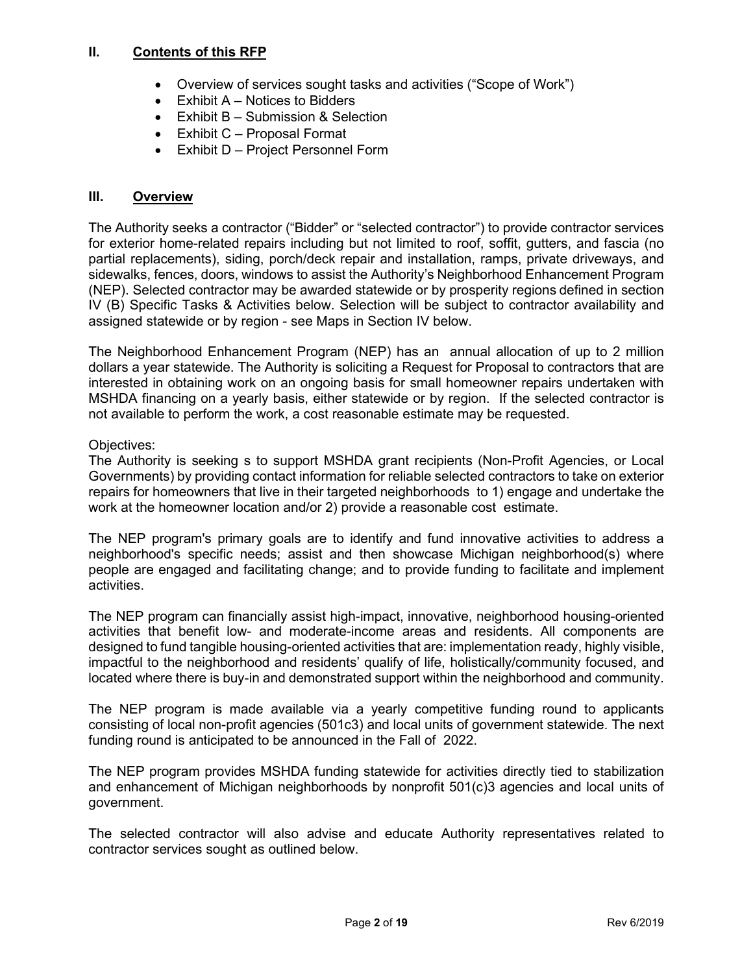# **II. Contents of this RFP**

- Overview of services sought tasks and activities ("Scope of Work")
- $\bullet$  Exhibit A Notices to Bidders
- Exhibit B Submission & Selection
- Exhibit C Proposal Format
- Exhibit D Project Personnel Form

# **III. Overview**

The Authority seeks a contractor ("Bidder" or "selected contractor") to provide contractor services for exterior home-related repairs including but not limited to roof, soffit, gutters, and fascia (no partial replacements), siding, porch/deck repair and installation, ramps, private driveways, and sidewalks, fences, doors, windows to assist the Authority's Neighborhood Enhancement Program (NEP). Selected contractor may be awarded statewide or by prosperity regions defined in section IV (B) Specific Tasks & Activities below. Selection will be subject to contractor availability and assigned statewide or by region - see Maps in Section IV below.

The Neighborhood Enhancement Program (NEP) has an annual allocation of up to 2 million dollars a year statewide. The Authority is soliciting a Request for Proposal to contractors that are interested in obtaining work on an ongoing basis for small homeowner repairs undertaken with MSHDA financing on a yearly basis, either statewide or by region. If the selected contractor is not available to perform the work, a cost reasonable estimate may be requested.

# Objectives:

The Authority is seeking s to support MSHDA grant recipients (Non-Profit Agencies, or Local Governments) by providing contact information for reliable selected contractors to take on exterior repairs for homeowners that live in their targeted neighborhoods to 1) engage and undertake the work at the homeowner location and/or 2) provide a reasonable cost estimate.

The NEP program's primary goals are to identify and fund innovative activities to address a neighborhood's specific needs; assist and then showcase Michigan neighborhood(s) where people are engaged and facilitating change; and to provide funding to facilitate and implement activities.

The NEP program can financially assist high-impact, innovative, neighborhood housing-oriented activities that benefit low- and moderate-income areas and residents. All components are designed to fund tangible housing-oriented activities that are: implementation ready, highly visible, impactful to the neighborhood and residents' qualify of life, holistically/community focused, and located where there is buy-in and demonstrated support within the neighborhood and community.

The NEP program is made available via a yearly competitive funding round to applicants consisting of local non-profit agencies (501c3) and local units of government statewide. The next funding round is anticipated to be announced in the Fall of 2022.

The NEP program provides MSHDA funding statewide for activities directly tied to stabilization and enhancement of Michigan neighborhoods by nonprofit 501(c)3 agencies and local units of government.

The selected contractor will also advise and educate Authority representatives related to contractor services sought as outlined below.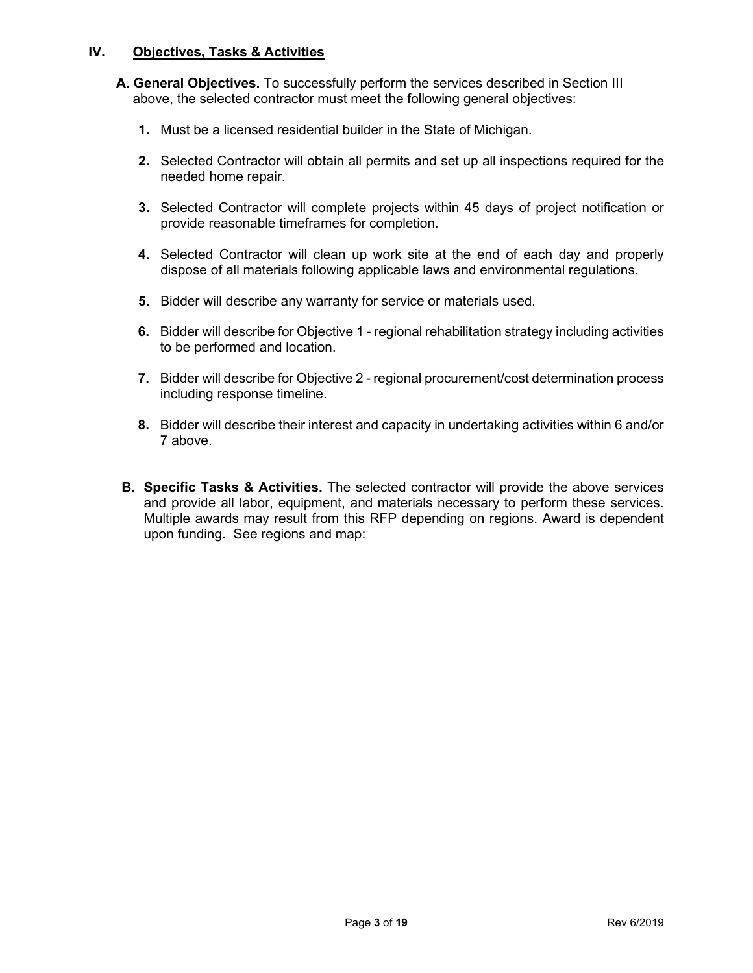# **IV. Objectives, Tasks & Activities**

- **A. General Objectives.** To successfully perform the services described in Section III above, the selected contractor must meet the following general objectives:
	- **1.** Must be a licensed residential builder in the State of Michigan.
	- **2.** Selected Contractor will obtain all permits and set up all inspections required for the needed home repair.
	- **3.** Selected Contractor will complete projects within 45 days of project notification or provide reasonable timeframes for completion.
	- **4.** Selected Contractor will clean up work site at the end of each day and properly dispose of all materials following applicable laws and environmental regulations.
	- **5.** Bidder will describe any warranty for service or materials used.
	- **6.** Bidder will describe for Objective 1 regional rehabilitation strategy including activities to be performed and location.
	- **7.** Bidder will describe for Objective 2 regional procurement/cost determination process including response timeline.
	- **8.** Bidder will describe their interest and capacity in undertaking activities within 6 and/or 7 above.
- **B. Specific Tasks & Activities.** The selected contractor will provide the above services and provide all labor, equipment, and materials necessary to perform these services. Multiple awards may result from this RFP depending on regions. Award is dependent upon funding. See regions and map: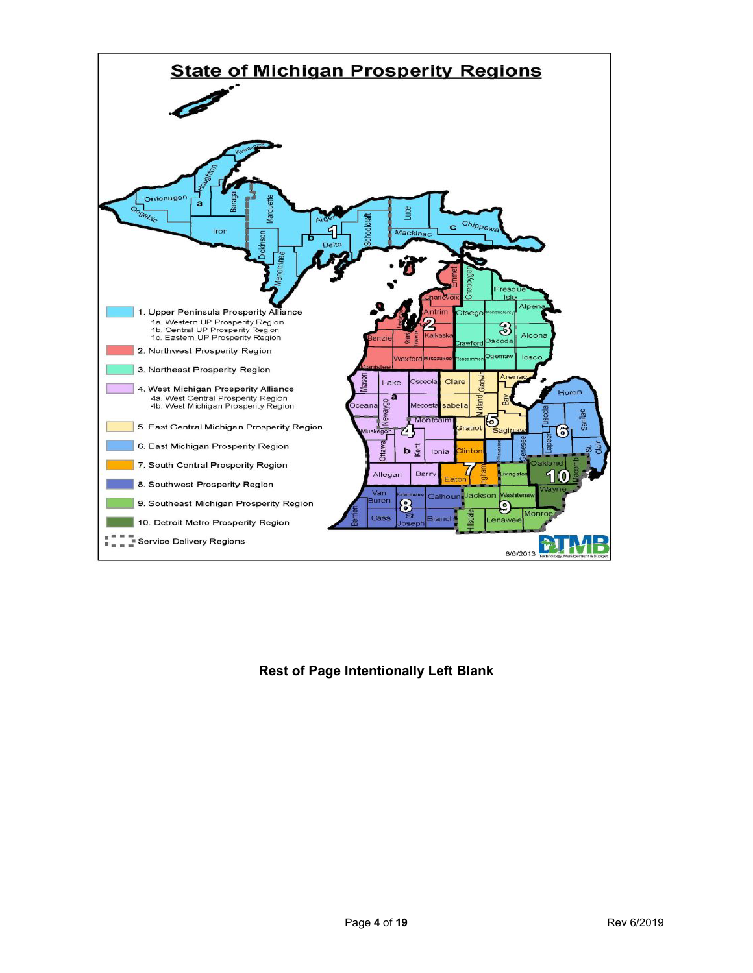

# **Rest of Page Intentionally Left Blank**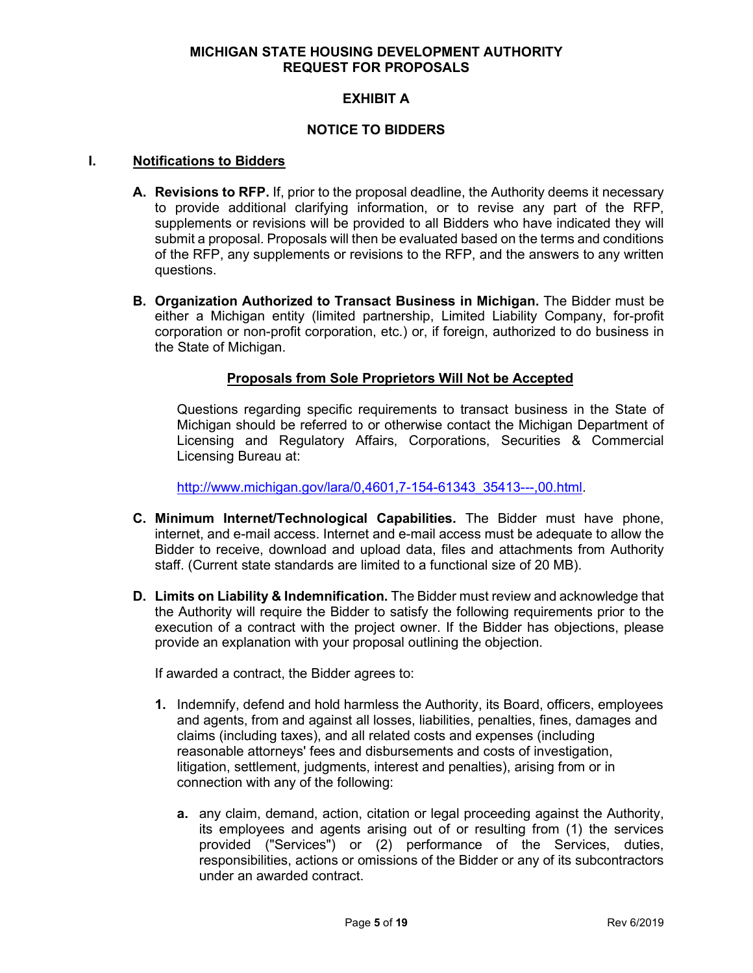# **MICHIGAN STATE HOUSING DEVELOPMENT AUTHORITY REQUEST FOR PROPOSALS**

# **EXHIBIT A**

# **NOTICE TO BIDDERS**

#### **I. Notifications to Bidders**

- **A. Revisions to RFP.** If, prior to the proposal deadline, the Authority deems it necessary to provide additional clarifying information, or to revise any part of the RFP, supplements or revisions will be provided to all Bidders who have indicated they will submit a proposal. Proposals will then be evaluated based on the terms and conditions of the RFP, any supplements or revisions to the RFP, and the answers to any written questions.
- **B. Organization Authorized to Transact Business in Michigan.** The Bidder must be either a Michigan entity (limited partnership, Limited Liability Company, for-profit corporation or non-profit corporation, etc.) or, if foreign, authorized to do business in the State of Michigan.

# **Proposals from Sole Proprietors Will Not be Accepted**

Questions regarding specific requirements to transact business in the State of Michigan should be referred to or otherwise contact the Michigan Department of Licensing and Regulatory Affairs, Corporations, Securities & Commercial Licensing Bureau at:

[http://www.michigan.gov/lara/0,4601,7-154-61343\\_35413---,00.html.](http://www.michigan.gov/lara/0,4601,7-154-61343_35413---,00.html)

- **C. Minimum Internet/Technological Capabilities.** The Bidder must have phone, internet, and e-mail access. Internet and e-mail access must be adequate to allow the Bidder to receive, download and upload data, files and attachments from Authority staff. (Current state standards are limited to a functional size of 20 MB).
- **D. Limits on Liability & Indemnification.** The Bidder must review and acknowledge that the Authority will require the Bidder to satisfy the following requirements prior to the execution of a contract with the project owner. If the Bidder has objections, please provide an explanation with your proposal outlining the objection.

If awarded a contract, the Bidder agrees to:

- **1.** Indemnify, defend and hold harmless the Authority, its Board, officers, employees and agents, from and against all losses, liabilities, penalties, fines, damages and claims (including taxes), and all related costs and expenses (including reasonable attorneys' fees and disbursements and costs of investigation, litigation, settlement, judgments, interest and penalties), arising from or in connection with any of the following:
	- **a.** any claim, demand, action, citation or legal proceeding against the Authority, its employees and agents arising out of or resulting from (1) the services provided ("Services") or (2) performance of the Services, duties, responsibilities, actions or omissions of the Bidder or any of its subcontractors under an awarded contract.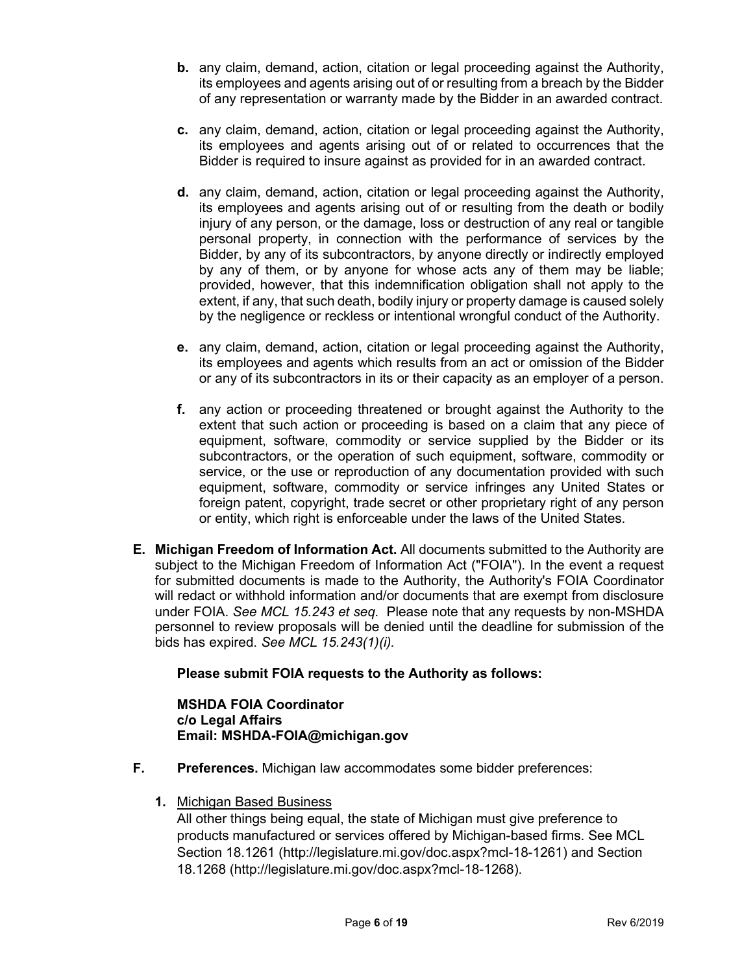- **b.** any claim, demand, action, citation or legal proceeding against the Authority, its employees and agents arising out of or resulting from a breach by the Bidder of any representation or warranty made by the Bidder in an awarded contract.
- **c.** any claim, demand, action, citation or legal proceeding against the Authority, its employees and agents arising out of or related to occurrences that the Bidder is required to insure against as provided for in an awarded contract.
- **d.** any claim, demand, action, citation or legal proceeding against the Authority, its employees and agents arising out of or resulting from the death or bodily injury of any person, or the damage, loss or destruction of any real or tangible personal property, in connection with the performance of services by the Bidder, by any of its subcontractors, by anyone directly or indirectly employed by any of them, or by anyone for whose acts any of them may be liable; provided, however, that this indemnification obligation shall not apply to the extent, if any, that such death, bodily injury or property damage is caused solely by the negligence or reckless or intentional wrongful conduct of the Authority.
- **e.** any claim, demand, action, citation or legal proceeding against the Authority, its employees and agents which results from an act or omission of the Bidder or any of its subcontractors in its or their capacity as an employer of a person.
- **f.** any action or proceeding threatened or brought against the Authority to the extent that such action or proceeding is based on a claim that any piece of equipment, software, commodity or service supplied by the Bidder or its subcontractors, or the operation of such equipment, software, commodity or service, or the use or reproduction of any documentation provided with such equipment, software, commodity or service infringes any United States or foreign patent, copyright, trade secret or other proprietary right of any person or entity, which right is enforceable under the laws of the United States.
- **E. Michigan Freedom of Information Act.** All documents submitted to the Authority are subject to the Michigan Freedom of Information Act ("FOIA"). In the event a request for submitted documents is made to the Authority, the Authority's FOIA Coordinator will redact or withhold information and/or documents that are exempt from disclosure under FOIA. *See MCL 15.243 et seq.* Please note that any requests by non-MSHDA personnel to review proposals will be denied until the deadline for submission of the bids has expired. *See MCL 15.243(1)(i).*

# **Please submit FOIA requests to the Authority as follows:**

# **MSHDA FOIA Coordinator c/o Legal Affairs Email: MSHDA-FOIA@michigan.gov**

- **F. Preferences.** Michigan law accommodates some bidder preferences:
	- **1.** Michigan Based Business

All other things being equal, the state of Michigan must give preference to products manufactured or services offered by Michigan-based firms. See MCL Section 18.1261 (http://legislature.mi.gov/doc.aspx?mcl-18-1261) and Section 18.1268 (http://legislature.mi.gov/doc.aspx?mcl-18-1268).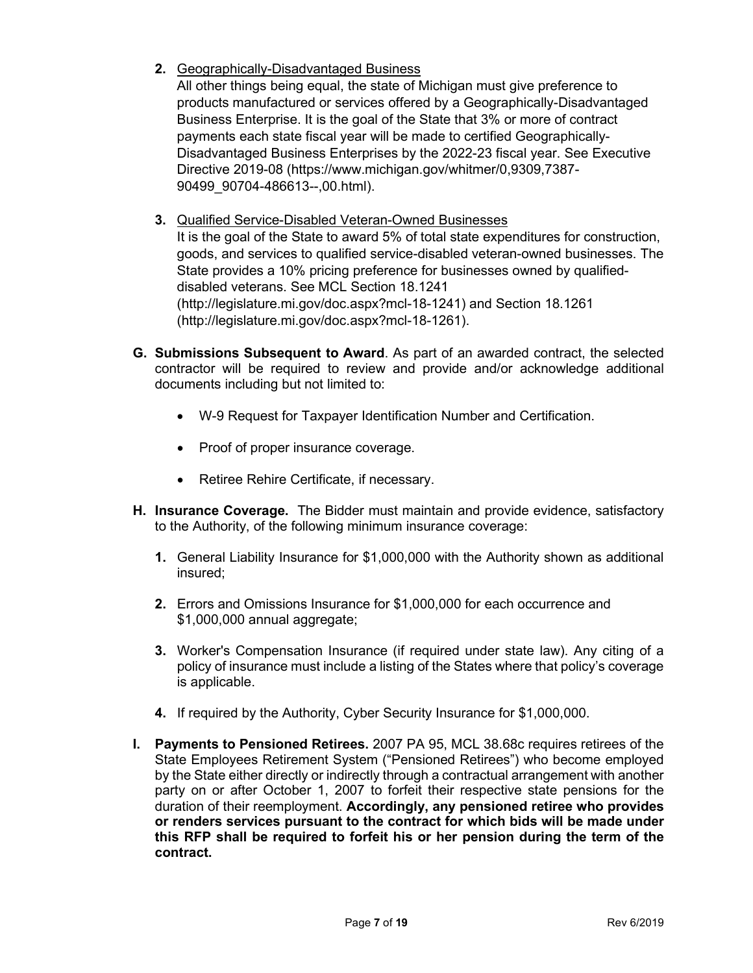**2.** Geographically-Disadvantaged Business

All other things being equal, the state of Michigan must give preference to products manufactured or services offered by a Geographically-Disadvantaged Business Enterprise. It is the goal of the State that 3% or more of contract payments each state fiscal year will be made to certified Geographically-Disadvantaged Business Enterprises by the 2022-23 fiscal year. See Executive Directive 2019-08 (https://www.michigan.gov/whitmer/0,9309,7387- 90499\_90704-486613--,00.html).

**3.** Qualified Service-Disabled Veteran-Owned Businesses

It is the goal of the State to award 5% of total state expenditures for construction, goods, and services to qualified service-disabled veteran-owned businesses. The State provides a 10% pricing preference for businesses owned by qualifieddisabled veterans. See MCL Section 18.1241 (http://legislature.mi.gov/doc.aspx?mcl-18-1241) and Section 18.1261 (http://legislature.mi.gov/doc.aspx?mcl-18-1261).

- **G. Submissions Subsequent to Award**. As part of an awarded contract, the selected contractor will be required to review and provide and/or acknowledge additional documents including but not limited to:
	- W-9 Request for Taxpayer Identification Number and Certification.
	- Proof of proper insurance coverage.
	- Retiree Rehire Certificate, if necessary.
- **H. Insurance Coverage.** The Bidder must maintain and provide evidence, satisfactory to the Authority, of the following minimum insurance coverage:
	- **1.** General Liability Insurance for \$1,000,000 with the Authority shown as additional insured;
	- **2.** Errors and Omissions Insurance for \$1,000,000 for each occurrence and \$1,000,000 annual aggregate;
	- **3.** Worker's Compensation Insurance (if required under state law). Any citing of a policy of insurance must include a listing of the States where that policy's coverage is applicable.
	- **4.** If required by the Authority, Cyber Security Insurance for \$1,000,000.
- **I. Payments to Pensioned Retirees.** 2007 PA 95, MCL 38.68c requires retirees of the State Employees Retirement System ("Pensioned Retirees") who become employed by the State either directly or indirectly through a contractual arrangement with another party on or after October 1, 2007 to forfeit their respective state pensions for the duration of their reemployment. **Accordingly, any pensioned retiree who provides or renders services pursuant to the contract for which bids will be made under this RFP shall be required to forfeit his or her pension during the term of the contract.**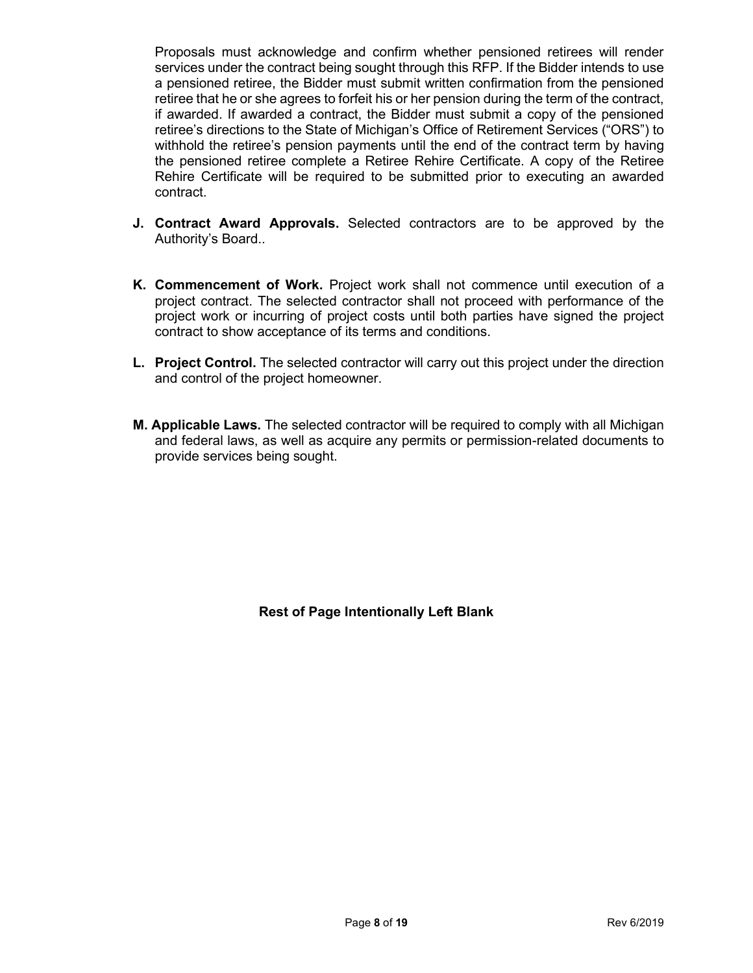Proposals must acknowledge and confirm whether pensioned retirees will render services under the contract being sought through this RFP. If the Bidder intends to use a pensioned retiree, the Bidder must submit written confirmation from the pensioned retiree that he or she agrees to forfeit his or her pension during the term of the contract, if awarded. If awarded a contract, the Bidder must submit a copy of the pensioned retiree's directions to the State of Michigan's Office of Retirement Services ("ORS") to withhold the retiree's pension payments until the end of the contract term by having the pensioned retiree complete a Retiree Rehire Certificate. A copy of the Retiree Rehire Certificate will be required to be submitted prior to executing an awarded contract.

- **J. Contract Award Approvals.** Selected contractors are to be approved by the Authority's Board..
- **K. Commencement of Work.** Project work shall not commence until execution of a project contract. The selected contractor shall not proceed with performance of the project work or incurring of project costs until both parties have signed the project contract to show acceptance of its terms and conditions.
- **L. Project Control.** The selected contractor will carry out this project under the direction and control of the project homeowner.
- **M. Applicable Laws.** The selected contractor will be required to comply with all Michigan and federal laws, as well as acquire any permits or permission-related documents to provide services being sought.

**Rest of Page Intentionally Left Blank**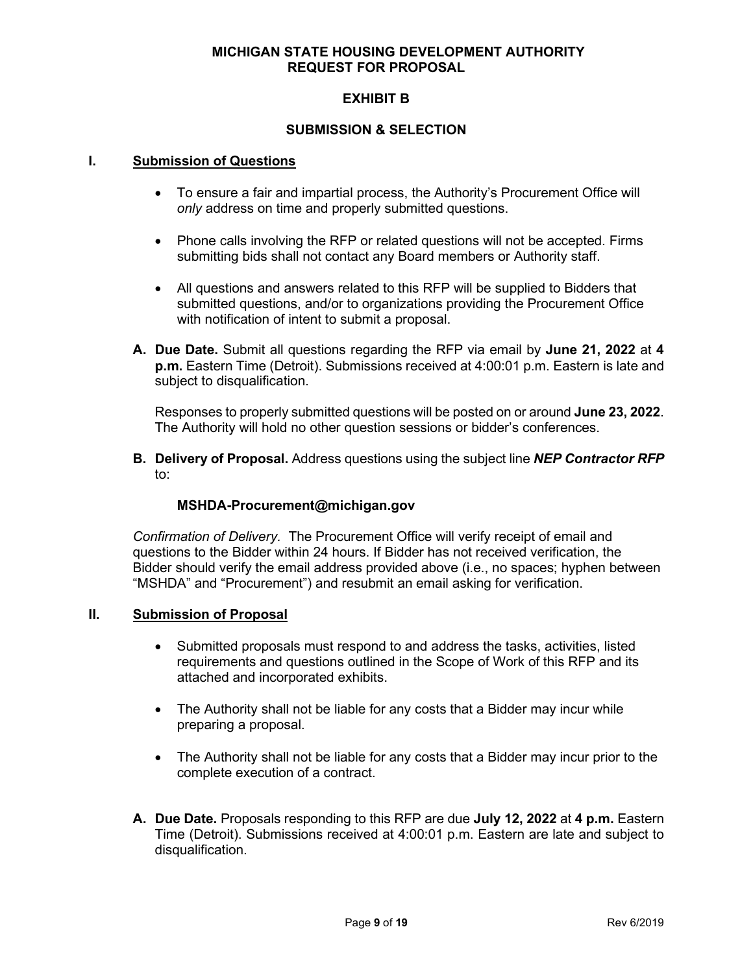# **MICHIGAN STATE HOUSING DEVELOPMENT AUTHORITY REQUEST FOR PROPOSAL**

# **EXHIBIT B**

# **SUBMISSION & SELECTION**

#### **I. Submission of Questions**

- To ensure a fair and impartial process, the Authority's Procurement Office will *only* address on time and properly submitted questions.
- Phone calls involving the RFP or related questions will not be accepted. Firms submitting bids shall not contact any Board members or Authority staff.
- All questions and answers related to this RFP will be supplied to Bidders that submitted questions, and/or to organizations providing the Procurement Office with notification of intent to submit a proposal.
- **A. Due Date.** Submit all questions regarding the RFP via email by **June 21, 2022** at **4 p.m.** Eastern Time (Detroit). Submissions received at 4:00:01 p.m. Eastern is late and subject to disqualification.

Responses to properly submitted questions will be posted on or around **June 23, 2022**. The Authority will hold no other question sessions or bidder's conferences.

**B. Delivery of Proposal.** Address questions using the subject line *NEP Contractor RFP* to:

# **MSHDA-Procurement@michigan.gov**

*Confirmation of Delivery.* The Procurement Office will verify receipt of email and questions to the Bidder within 24 hours. If Bidder has not received verification, the Bidder should verify the email address provided above (i.e., no spaces; hyphen between "MSHDA" and "Procurement") and resubmit an email asking for verification.

#### **II. Submission of Proposal**

- Submitted proposals must respond to and address the tasks, activities, listed requirements and questions outlined in the Scope of Work of this RFP and its attached and incorporated exhibits.
- The Authority shall not be liable for any costs that a Bidder may incur while preparing a proposal.
- The Authority shall not be liable for any costs that a Bidder may incur prior to the complete execution of a contract.
- **A. Due Date.** Proposals responding to this RFP are due **July 12, 2022** at **4 p.m.** Eastern Time (Detroit). Submissions received at 4:00:01 p.m. Eastern are late and subject to disqualification.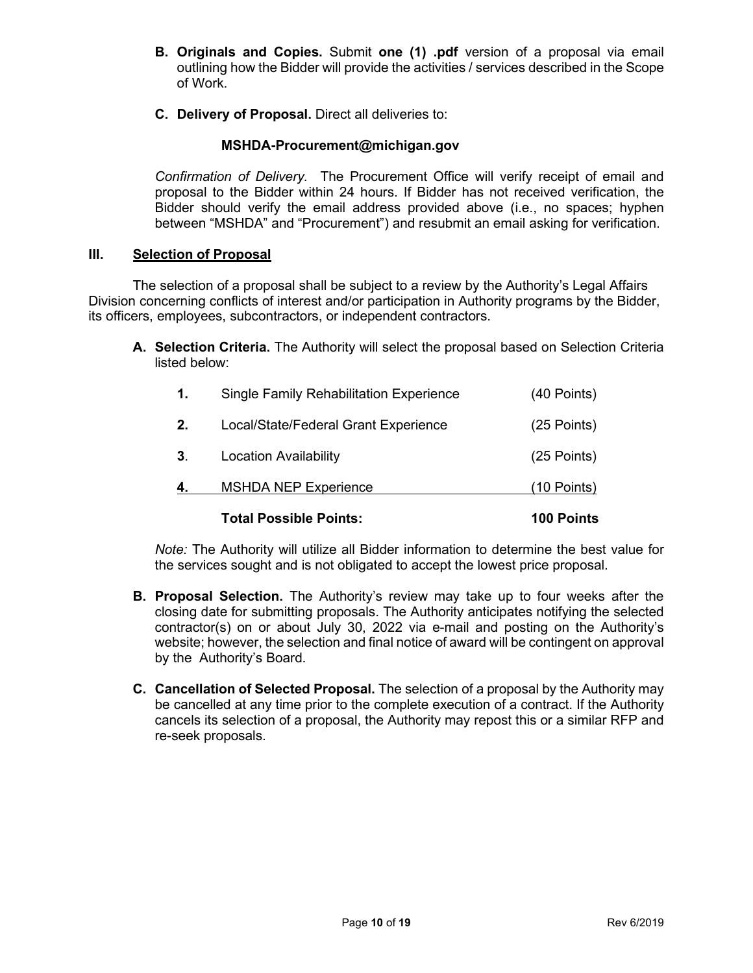- **B. Originals and Copies.** Submit **one (1) .pdf** version of a proposal via email outlining how the Bidder will provide the activities / services described in the Scope of Work.
- **C. Delivery of Proposal.** Direct all deliveries to:

# **MSHDA-Procurement@michigan.gov**

*Confirmation of Delivery.* The Procurement Office will verify receipt of email and proposal to the Bidder within 24 hours. If Bidder has not received verification, the Bidder should verify the email address provided above (i.e., no spaces; hyphen between "MSHDA" and "Procurement") and resubmit an email asking for verification.

# **III. Selection of Proposal**

The selection of a proposal shall be subject to a review by the Authority's Legal Affairs Division concerning conflicts of interest and/or participation in Authority programs by the Bidder, its officers, employees, subcontractors, or independent contractors.

**A. Selection Criteria.** The Authority will select the proposal based on Selection Criteria listed below:

|                | <b>Total Possible Points:</b>           | 100 Points    |
|----------------|-----------------------------------------|---------------|
|                | <b>MSHDA NEP Experience</b>             | (10 Points)   |
| 3 <sub>1</sub> | <b>Location Availability</b>            | $(25$ Points) |
| 2.             | Local/State/Federal Grant Experience    | $(25$ Points) |
| 1.             | Single Family Rehabilitation Experience | (40 Points)   |

*Note:* The Authority will utilize all Bidder information to determine the best value for the services sought and is not obligated to accept the lowest price proposal.

- **B. Proposal Selection.** The Authority's review may take up to four weeks after the closing date for submitting proposals. The Authority anticipates notifying the selected contractor(s) on or about July 30, 2022 via e-mail and posting on the Authority's website; however, the selection and final notice of award will be contingent on approval by the Authority's Board.
- **C. Cancellation of Selected Proposal.** The selection of a proposal by the Authority may be cancelled at any time prior to the complete execution of a contract. If the Authority cancels its selection of a proposal, the Authority may repost this or a similar RFP and re-seek proposals.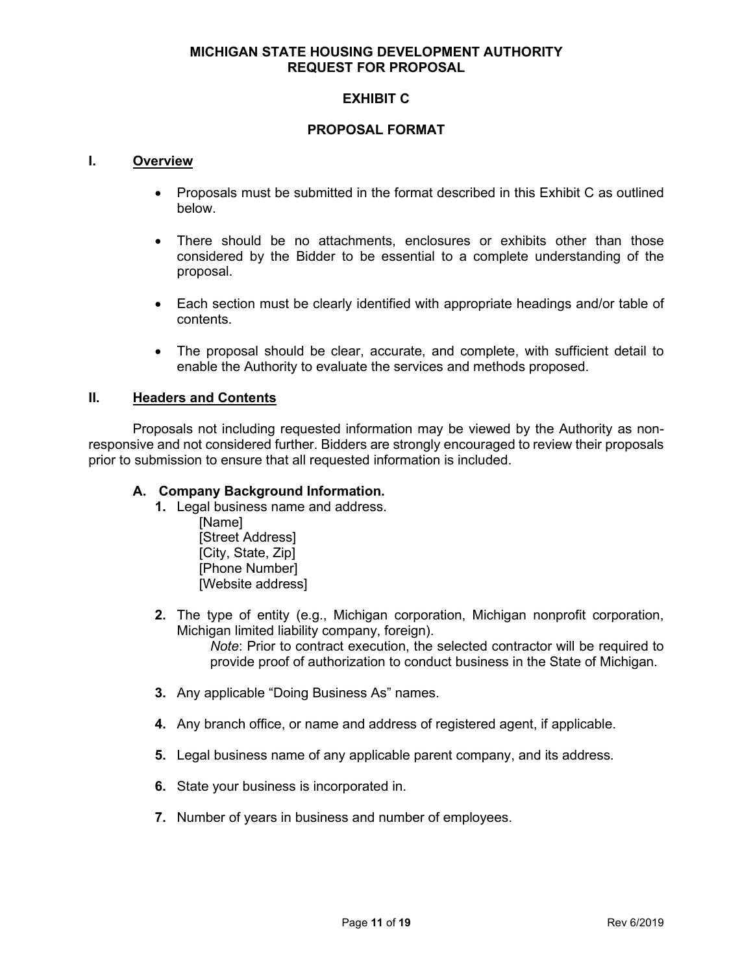# **MICHIGAN STATE HOUSING DEVELOPMENT AUTHORITY REQUEST FOR PROPOSAL**

# **EXHIBIT C**

# **PROPOSAL FORMAT**

#### **I. Overview**

- Proposals must be submitted in the format described in this Exhibit C as outlined below.
- There should be no attachments, enclosures or exhibits other than those considered by the Bidder to be essential to a complete understanding of the proposal.
- Each section must be clearly identified with appropriate headings and/or table of contents.
- The proposal should be clear, accurate, and complete, with sufficient detail to enable the Authority to evaluate the services and methods proposed.

#### **II. Headers and Contents**

Proposals not including requested information may be viewed by the Authority as nonresponsive and not considered further. Bidders are strongly encouraged to review their proposals prior to submission to ensure that all requested information is included.

#### **A. Company Background Information.**

- **1.** Legal business name and address.
	- [Name] [Street Address] [City, State, Zip] [Phone Number] [Website address]
- **2.** The type of entity (e.g., Michigan corporation, Michigan nonprofit corporation, Michigan limited liability company, foreign).

*Note*: Prior to contract execution, the selected contractor will be required to provide proof of authorization to conduct business in the State of Michigan.

- **3.** Any applicable "Doing Business As" names.
- **4.** Any branch office, or name and address of registered agent, if applicable.
- **5.** Legal business name of any applicable parent company, and its address.
- **6.** State your business is incorporated in.
- **7.** Number of years in business and number of employees.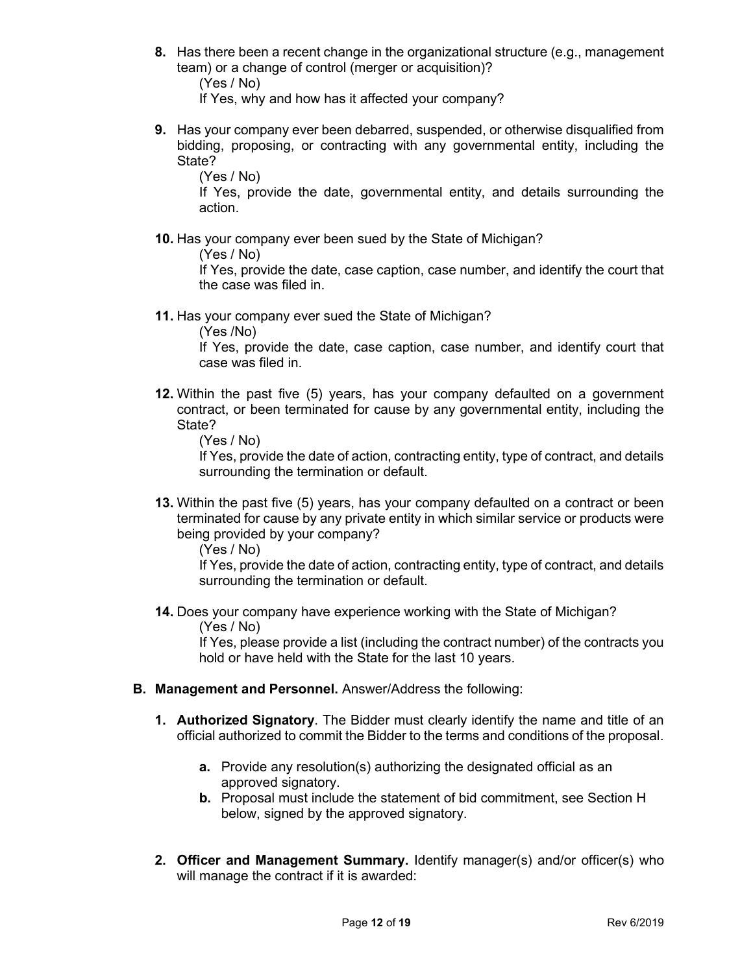**8.** Has there been a recent change in the organizational structure (e.g., management team) or a change of control (merger or acquisition)?

(Yes / No)

If Yes, why and how has it affected your company?

**9.** Has your company ever been debarred, suspended, or otherwise disqualified from bidding, proposing, or contracting with any governmental entity, including the State?

(Yes / No)

If Yes, provide the date, governmental entity, and details surrounding the action.

**10.** Has your company ever been sued by the State of Michigan?

(Yes / No)

If Yes, provide the date, case caption, case number, and identify the court that the case was filed in.

**11.** Has your company ever sued the State of Michigan?

(Yes /No)

If Yes, provide the date, case caption, case number, and identify court that case was filed in.

**12.** Within the past five (5) years, has your company defaulted on a government contract, or been terminated for cause by any governmental entity, including the State?

(Yes / No)

If Yes, provide the date of action, contracting entity, type of contract, and details surrounding the termination or default.

**13.** Within the past five (5) years, has your company defaulted on a contract or been terminated for cause by any private entity in which similar service or products were being provided by your company?

(Yes / No)

If Yes, provide the date of action, contracting entity, type of contract, and details surrounding the termination or default.

**14.** Does your company have experience working with the State of Michigan? (Yes / No)

If Yes, please provide a list (including the contract number) of the contracts you hold or have held with the State for the last 10 years.

- **B. Management and Personnel.** Answer/Address the following:
	- **1. Authorized Signatory**. The Bidder must clearly identify the name and title of an official authorized to commit the Bidder to the terms and conditions of the proposal.
		- **a.** Provide any resolution(s) authorizing the designated official as an approved signatory.
		- **b.** Proposal must include the statement of bid commitment, see Section H below, signed by the approved signatory.
	- **2. Officer and Management Summary.** Identify manager(s) and/or officer(s) who will manage the contract if it is awarded: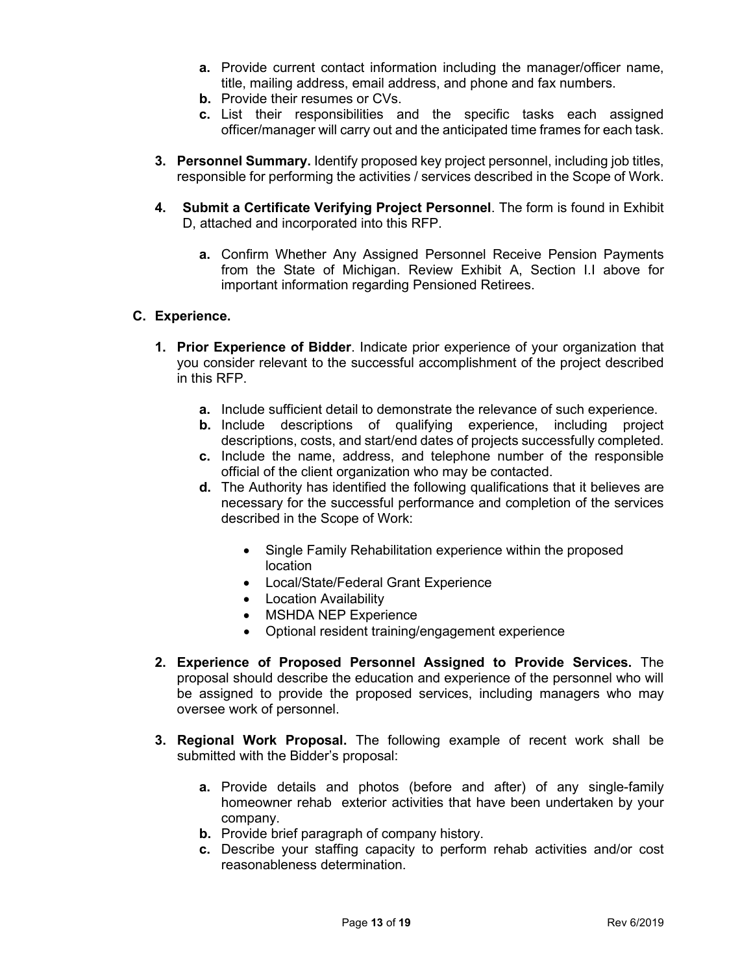- **a.** Provide current contact information including the manager/officer name, title, mailing address, email address, and phone and fax numbers.
- **b.** Provide their resumes or CVs.
- **c.** List their responsibilities and the specific tasks each assigned officer/manager will carry out and the anticipated time frames for each task.
- **3. Personnel Summary.** Identify proposed key project personnel, including job titles, responsible for performing the activities / services described in the Scope of Work.
- **4. Submit a Certificate Verifying Project Personnel**. The form is found in Exhibit D, attached and incorporated into this RFP.
	- **a.** Confirm Whether Any Assigned Personnel Receive Pension Payments from the State of Michigan. Review Exhibit A, Section I.I above for important information regarding Pensioned Retirees.

# **C. Experience.**

- **1. Prior Experience of Bidder**. Indicate prior experience of your organization that you consider relevant to the successful accomplishment of the project described in this RFP.
	- **a.** Include sufficient detail to demonstrate the relevance of such experience.
	- **b.** Include descriptions of qualifying experience, including project descriptions, costs, and start/end dates of projects successfully completed.
	- **c.** Include the name, address, and telephone number of the responsible official of the client organization who may be contacted.
	- **d.** The Authority has identified the following qualifications that it believes are necessary for the successful performance and completion of the services described in the Scope of Work:
		- Single Family Rehabilitation experience within the proposed location
		- Local/State/Federal Grant Experience
		- Location Availability
		- MSHDA NEP Experience
		- Optional resident training/engagement experience
- **2. Experience of Proposed Personnel Assigned to Provide Services.** The proposal should describe the education and experience of the personnel who will be assigned to provide the proposed services, including managers who may oversee work of personnel.
- **3. Regional Work Proposal.** The following example of recent work shall be submitted with the Bidder's proposal:
	- **a.** Provide details and photos (before and after) of any single-family homeowner rehab exterior activities that have been undertaken by your company.
	- **b.** Provide brief paragraph of company history.
	- **c.** Describe your staffing capacity to perform rehab activities and/or cost reasonableness determination.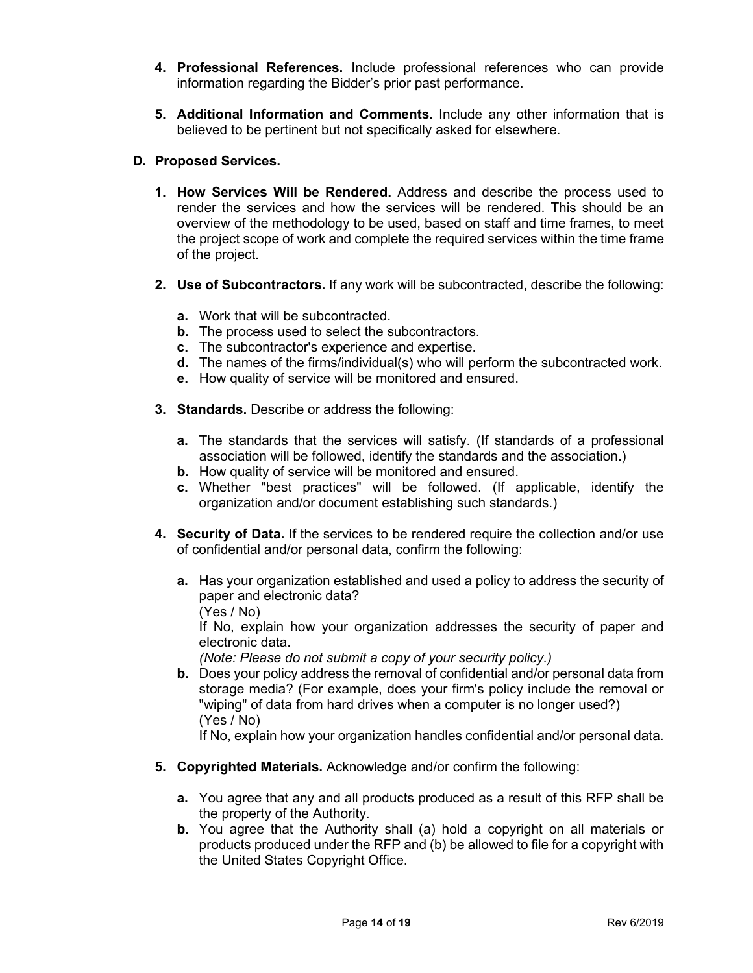- **4. Professional References.** Include professional references who can provide information regarding the Bidder's prior past performance.
- **5. Additional Information and Comments.** Include any other information that is believed to be pertinent but not specifically asked for elsewhere.

# **D. Proposed Services.**

- **1. How Services Will be Rendered.** Address and describe the process used to render the services and how the services will be rendered. This should be an overview of the methodology to be used, based on staff and time frames, to meet the project scope of work and complete the required services within the time frame of the project.
- **2. Use of Subcontractors.** If any work will be subcontracted, describe the following:
	- **a.** Work that will be subcontracted.
	- **b.** The process used to select the subcontractors.
	- **c.** The subcontractor's experience and expertise.
	- **d.** The names of the firms/individual(s) who will perform the subcontracted work.
	- **e.** How quality of service will be monitored and ensured.
- **3. Standards.** Describe or address the following:
	- **a.** The standards that the services will satisfy. (If standards of a professional association will be followed, identify the standards and the association.)
	- **b.** How quality of service will be monitored and ensured.
	- **c.** Whether "best practices" will be followed. (If applicable, identify the organization and/or document establishing such standards.)
- **4. Security of Data.** If the services to be rendered require the collection and/or use of confidential and/or personal data, confirm the following:
	- **a.** Has your organization established and used a policy to address the security of paper and electronic data?
		- (Yes / No)

If No, explain how your organization addresses the security of paper and electronic data.

- *(Note: Please do not submit a copy of your security policy.)*
- **b.** Does your policy address the removal of confidential and/or personal data from storage media? (For example, does your firm's policy include the removal or "wiping" of data from hard drives when a computer is no longer used?) (Yes / No)

If No, explain how your organization handles confidential and/or personal data.

- **5. Copyrighted Materials.** Acknowledge and/or confirm the following:
	- **a.** You agree that any and all products produced as a result of this RFP shall be the property of the Authority.
	- **b.** You agree that the Authority shall (a) hold a copyright on all materials or products produced under the RFP and (b) be allowed to file for a copyright with the United States Copyright Office.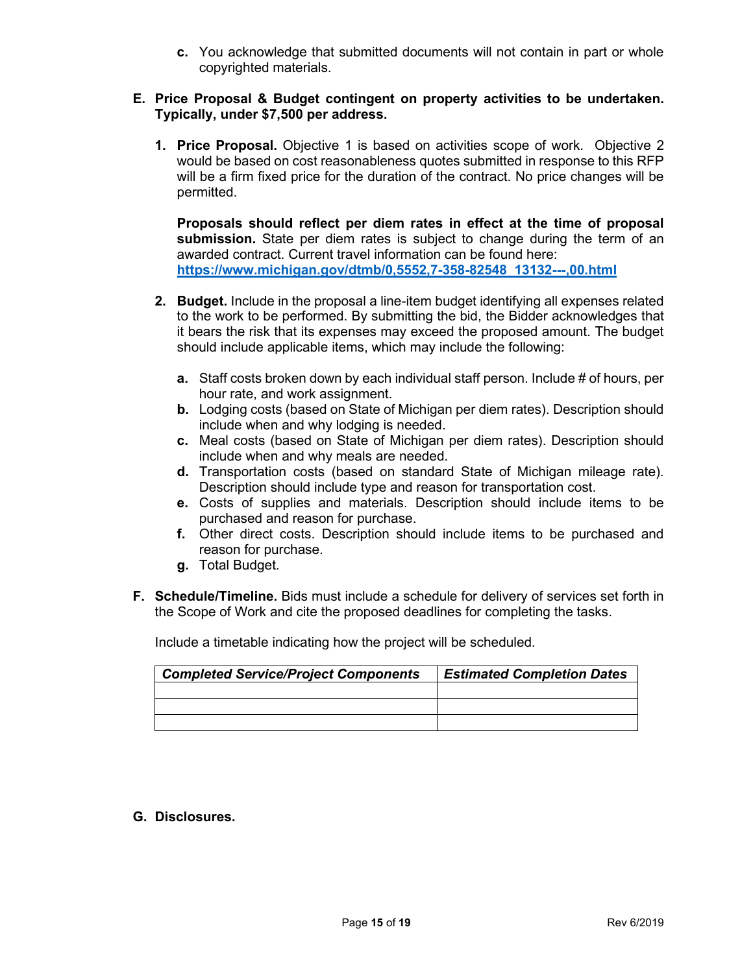**c.** You acknowledge that submitted documents will not contain in part or whole copyrighted materials.

## **E. Price Proposal & Budget contingent on property activities to be undertaken. Typically, under \$7,500 per address.**

**1. Price Proposal.** Objective 1 is based on activities scope of work. Objective 2 would be based on cost reasonableness quotes submitted in response to this RFP will be a firm fixed price for the duration of the contract. No price changes will be permitted.

**Proposals should reflect per diem rates in effect at the time of proposal submission.** State per diem rates is subject to change during the term of an awarded contract. Current travel information can be found here: **[https://www.michigan.gov/dtmb/0,5552,7-358-82548\\_13132---,00.html](https://gcc02.safelinks.protection.outlook.com/?url=https%3A%2F%2Fwww.michigan.gov%2Fdtmb%2F0%2C5552%2C7-358-82548_13132---%2C00.html&data=04%7C01%7CKellyJ11%40michigan.gov%7C80c71075c673484bccb908d8c2013c38%7Cd5fb7087377742ad966a892ef47225d1%7C0%7C0%7C637472657839283220%7CUnknown%7CTWFpbGZsb3d8eyJWIjoiMC4wLjAwMDAiLCJQIjoiV2luMzIiLCJBTiI6Ik1haWwiLCJXVCI6Mn0%3D%7C1000&sdata=eWSXmORdn1xUQsCq6EYuITVUPq%2FyVkY%2BEmtBpKicxC8%3D&reserved=0)** 

- **2. Budget.** Include in the proposal a line-item budget identifying all expenses related to the work to be performed. By submitting the bid, the Bidder acknowledges that it bears the risk that its expenses may exceed the proposed amount. The budget should include applicable items, which may include the following:
	- **a.** Staff costs broken down by each individual staff person. Include # of hours, per hour rate, and work assignment.
	- **b.** Lodging costs (based on State of Michigan per diem rates). Description should include when and why lodging is needed.
	- **c.** Meal costs (based on State of Michigan per diem rates). Description should include when and why meals are needed.
	- **d.** Transportation costs (based on standard State of Michigan mileage rate). Description should include type and reason for transportation cost.
	- **e.** Costs of supplies and materials. Description should include items to be purchased and reason for purchase.
	- **f.** Other direct costs. Description should include items to be purchased and reason for purchase.
	- **g.** Total Budget.
- **F. Schedule/Timeline.** Bids must include a schedule for delivery of services set forth in the Scope of Work and cite the proposed deadlines for completing the tasks.

Include a timetable indicating how the project will be scheduled.

| <b>Completed Service/Project Components</b> | <b>Estimated Completion Dates</b> |
|---------------------------------------------|-----------------------------------|
|                                             |                                   |
|                                             |                                   |
|                                             |                                   |

**G. Disclosures.**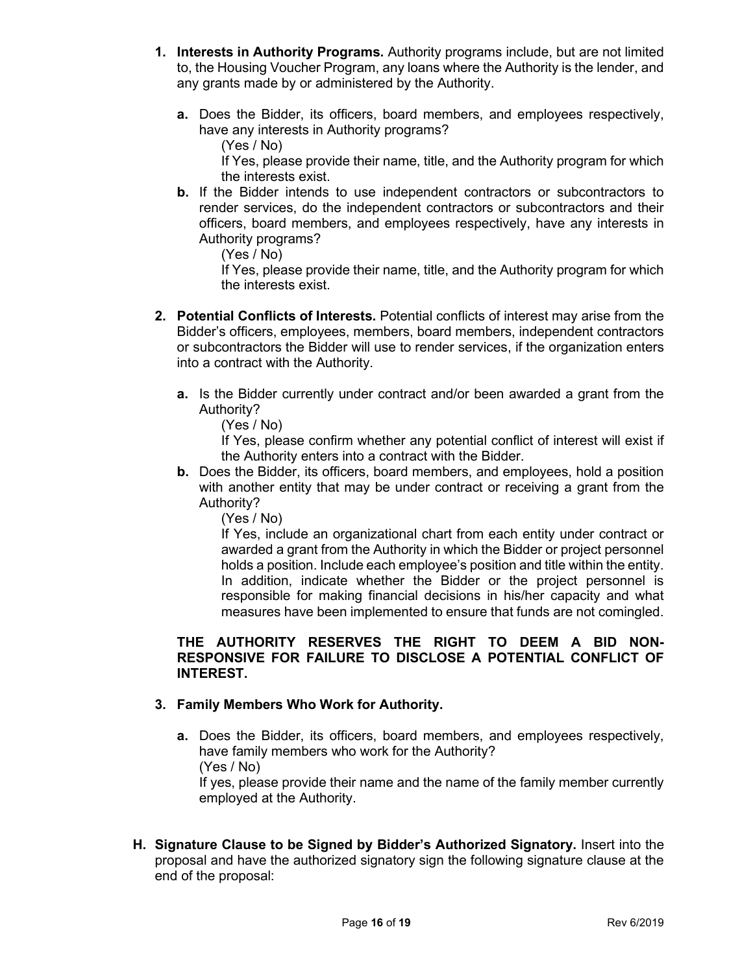- **1. Interests in Authority Programs.** Authority programs include, but are not limited to, the Housing Voucher Program, any loans where the Authority is the lender, and any grants made by or administered by the Authority.
	- **a.** Does the Bidder, its officers, board members, and employees respectively, have any interests in Authority programs?
		- (Yes / No)

If Yes, please provide their name, title, and the Authority program for which the interests exist.

**b.** If the Bidder intends to use independent contractors or subcontractors to render services, do the independent contractors or subcontractors and their officers, board members, and employees respectively, have any interests in Authority programs?

(Yes / No)

If Yes, please provide their name, title, and the Authority program for which the interests exist.

- **2. Potential Conflicts of Interests.** Potential conflicts of interest may arise from the Bidder's officers, employees, members, board members, independent contractors or subcontractors the Bidder will use to render services, if the organization enters into a contract with the Authority.
	- **a.** Is the Bidder currently under contract and/or been awarded a grant from the Authority?

(Yes / No)

If Yes, please confirm whether any potential conflict of interest will exist if the Authority enters into a contract with the Bidder.

**b.** Does the Bidder, its officers, board members, and employees, hold a position with another entity that may be under contract or receiving a grant from the Authority?

(Yes / No)

If Yes, include an organizational chart from each entity under contract or awarded a grant from the Authority in which the Bidder or project personnel holds a position. Include each employee's position and title within the entity. In addition, indicate whether the Bidder or the project personnel is responsible for making financial decisions in his/her capacity and what measures have been implemented to ensure that funds are not comingled.

# **THE AUTHORITY RESERVES THE RIGHT TO DEEM A BID NON-RESPONSIVE FOR FAILURE TO DISCLOSE A POTENTIAL CONFLICT OF INTEREST.**

# **3. Family Members Who Work for Authority.**

**a.** Does the Bidder, its officers, board members, and employees respectively, have family members who work for the Authority? (Yes / No)

If yes, please provide their name and the name of the family member currently employed at the Authority.

**H. Signature Clause to be Signed by Bidder's Authorized Signatory.** Insert into the proposal and have the authorized signatory sign the following signature clause at the end of the proposal: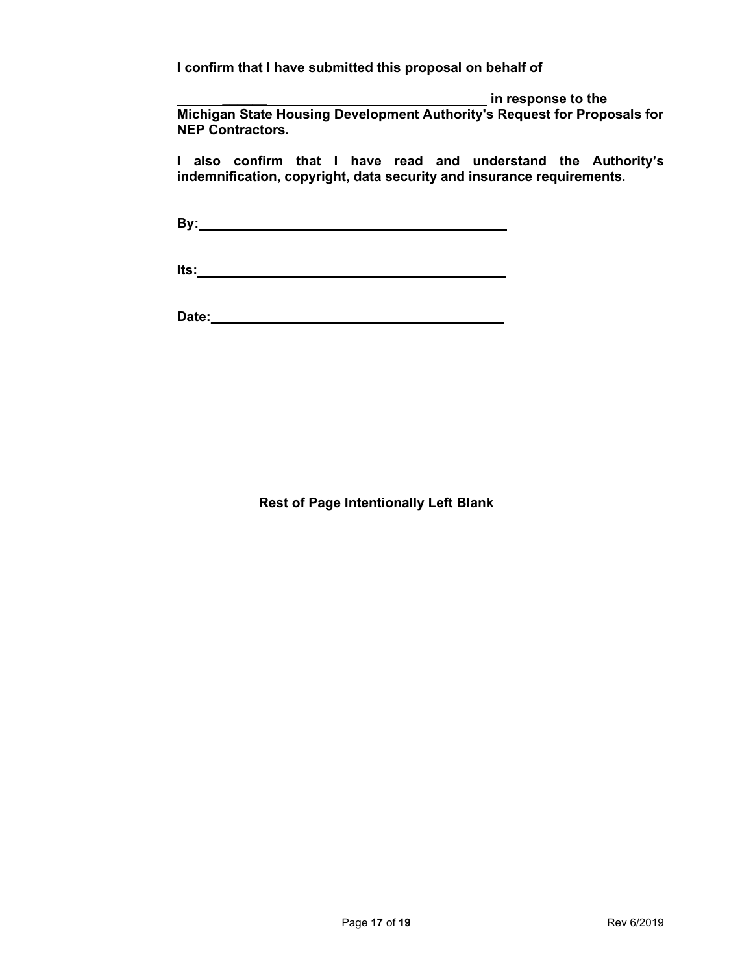**I confirm that I have submitted this proposal on behalf of** 

*\_\_\_\_\_\_* **in response to the Michigan State Housing Development Authority's Request for Proposals for NEP Contractors.** 

**I also confirm that I have read and understand the Authority's indemnification, copyright, data security and insurance requirements.** 

**By:\_\_\_\_\_\_\_\_\_\_\_\_\_\_\_\_\_\_\_\_\_\_\_\_\_\_\_\_\_\_\_\_\_\_\_\_\_\_\_\_\_** 

**Its:\_\_\_\_\_\_\_\_\_\_\_\_\_\_\_\_\_\_\_\_\_\_\_\_\_\_\_\_\_\_\_\_\_\_\_\_\_\_\_\_\_** 

**Date:\_\_\_\_\_\_\_\_\_\_\_\_\_\_\_\_\_\_\_\_\_\_\_\_\_\_\_\_\_\_\_\_\_\_\_\_\_\_\_**

**Rest of Page Intentionally Left Blank**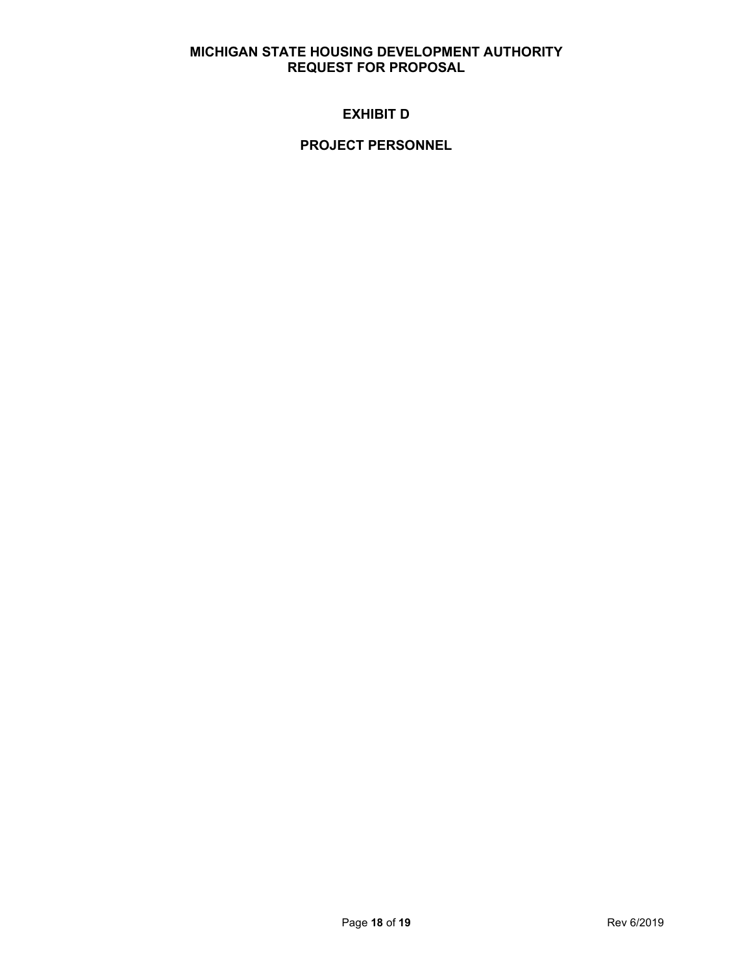# **MICHIGAN STATE HOUSING DEVELOPMENT AUTHORITY REQUEST FOR PROPOSAL**

# **EXHIBIT D**

# **PROJECT PERSONNEL**